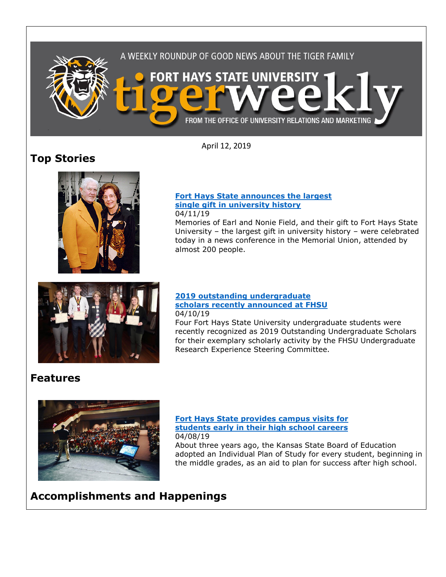

April 12, 2019

# **Top Stories**



#### **[Fort Hays State announces the largest](https://www.fhsu.edu/news/2019/04/fort-hays-state-announces-the-largest-single-gift-in-university-history)  [single gift in university history](https://www.fhsu.edu/news/2019/04/fort-hays-state-announces-the-largest-single-gift-in-university-history)** 04/11/19

Memories of Earl and Nonie Field, and their gift to Fort Hays State University – the largest gift in university history – were celebrated today in a news conference in the Memorial Union, attended by almost 200 people.



## **[2019 outstanding undergraduate](https://www.fhsu.edu/news/2019/04/2019-outstanding-undergraduate-scholars-recently-announced-at-fhsu)  [scholars recently announced at FHSU](https://www.fhsu.edu/news/2019/04/2019-outstanding-undergraduate-scholars-recently-announced-at-fhsu)** 04/10/19

Four Fort Hays State University undergraduate students were recently recognized as 2019 Outstanding Undergraduate Scholars for their exemplary scholarly activity by the FHSU Undergraduate Research Experience Steering Committee.

# **Features**



## **[Fort Hays State provides campus visits for](https://www.fhsu.edu/news/2019/04/fort-hays-state-provides-campus-visits-for-students-early-in-their-high-school-careers)  [students early in their high school careers](https://www.fhsu.edu/news/2019/04/fort-hays-state-provides-campus-visits-for-students-early-in-their-high-school-careers)** 04/08/19

About three years ago, the Kansas State Board of Education adopted an Individual Plan of Study for every student, beginning in the middle grades, as an aid to plan for success after high school.

# **Accomplishments and Happenings**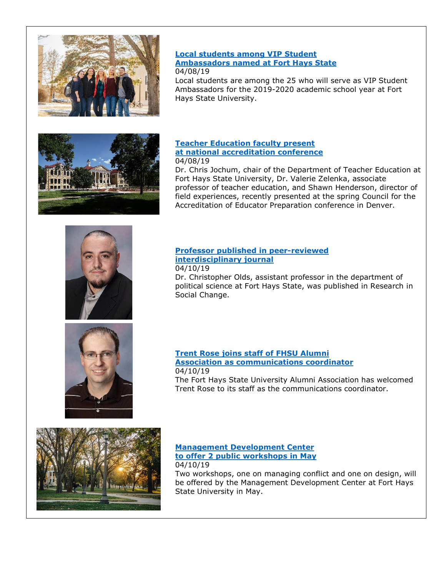

## **[Local students among VIP Student](https://www.fhsu.edu/news/2019/04/local-students-among-vip-student-ambassadors-named-at-fort-hays-state)  [Ambassadors named at Fort Hays State](https://www.fhsu.edu/news/2019/04/local-students-among-vip-student-ambassadors-named-at-fort-hays-state)** 04/08/19

Local students are among the 25 who will serve as VIP Student Ambassadors for the 2019-2020 academic school year at Fort Hays State University.



### **[Teacher Education faculty present](https://www.fhsu.edu/news/2019/04/teacher-education-faculty-present-at-national-accreditation-conference)  [at national accreditation conference](https://www.fhsu.edu/news/2019/04/teacher-education-faculty-present-at-national-accreditation-conference)** 04/08/19

Dr. Chris Jochum, chair of the Department of Teacher Education at Fort Hays State University, Dr. Valerie Zelenka, associate professor of teacher education, and Shawn Henderson, director of field experiences, recently presented at the spring Council for the Accreditation of Educator Preparation conference in Denver.



### **[Professor published in peer-reviewed](https://www.fhsu.edu/news/2019/04/fort-hays-state-professor-published-in-peer-reviewed-interdisciplinary-journal)  [interdisciplinary journal](https://www.fhsu.edu/news/2019/04/fort-hays-state-professor-published-in-peer-reviewed-interdisciplinary-journal)** 04/10/19

Dr. Christopher Olds, assistant professor in the department of political science at Fort Hays State, was published in Research in Social Change.



**[Trent Rose joins staff of FHSU Alumni](https://www.fhsu.edu/news/2019/04/trent-rose-joins-staff-of-fhsu-alumni-association-as-communications-coordinator)  [Association as communications coordinator](https://www.fhsu.edu/news/2019/04/trent-rose-joins-staff-of-fhsu-alumni-association-as-communications-coordinator)** 04/10/19

The Fort Hays State University Alumni Association has welcomed Trent Rose to its staff as the communications coordinator.



**[Management Development Center](https://www.fhsu.edu/news/2019/04/fhsu-management-development-center-to-offer-2-public-workshops-in-may)  [to offer 2 public workshops in May](https://www.fhsu.edu/news/2019/04/fhsu-management-development-center-to-offer-2-public-workshops-in-may)** 04/10/19

Two workshops, one on managing conflict and one on design, will be offered by the Management Development Center at Fort Hays State University in May.